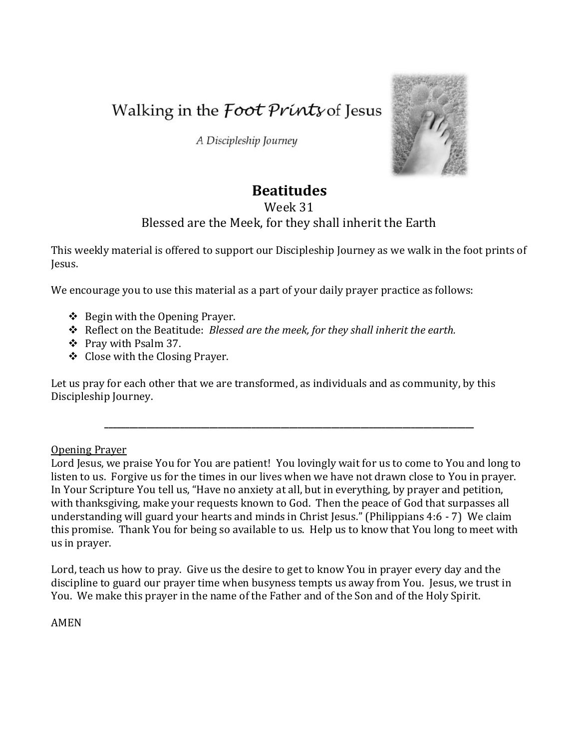Walking in the *Foot Prints* of Jesus

A Discipleship Journey



# **Beatitudes**

## Week 31

## Blessed are the Meek, for they shall inherit the Earth

This weekly material is offered to support our Discipleship Journey as we walk in the foot prints of Jesus.

We encourage you to use this material as a part of your daily prayer practice as follows:

- $\triangleleft$  Begin with the Opening Prayer.
- Reflect on the Beatitude: *Blessed are the meek, for they shall inherit the earth.*
- Pray with Psalm 37.
- ❖ Close with the Closing Prayer.

Let us pray for each other that we are transformed, as individuals and as community, by this Discipleship Journey.

#### Opening Prayer

Lord Jesus, we praise You for You are patient! You lovingly wait for us to come to You and long to listen to us. Forgive us for the times in our lives when we have not drawn close to You in prayer. In Your Scripture You tell us, "Have no anxiety at all, but in everything, by prayer and petition, with thanksgiving, make your requests known to God. Then the peace of God that surpasses all understanding will guard your hearts and minds in Christ Jesus." (Philippians 4:6 - 7) We claim this promise. Thank You for being so available to us. Help us to know that You long to meet with us in prayer.

**\_\_\_\_\_\_\_\_\_\_\_\_\_\_\_\_\_\_\_\_\_\_\_\_\_\_\_\_\_\_\_\_\_\_\_\_\_\_\_\_\_\_\_\_\_\_\_\_\_\_\_\_\_\_\_\_\_\_\_\_\_\_\_\_\_\_\_\_\_\_\_\_\_\_\_\_\_\_\_\_\_\_\_\_\_\_\_\_**

Lord, teach us how to pray. Give us the desire to get to know You in prayer every day and the discipline to guard our prayer time when busyness tempts us away from You. Jesus, we trust in You. We make this prayer in the name of the Father and of the Son and of the Holy Spirit.

AMEN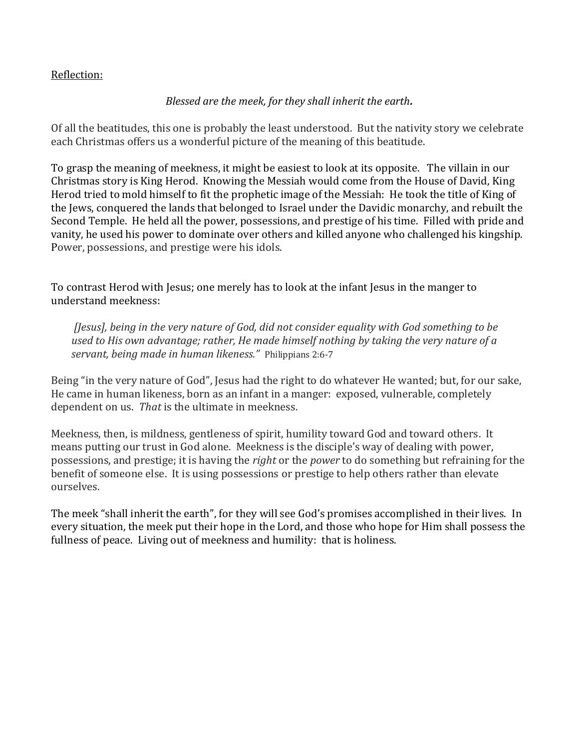#### Reflection:

### *Blessed are the meek, for they shall inherit the earth.*

Of all the beatitudes, this one is probably the least understood. But the nativity story we celebrate each Christmas offers us a wonderful picture of the meaning of this beatitude.

To grasp the meaning of meekness, it might be easiest to look at its opposite. The villain in our Christmas story is King Herod. Knowing the Messiah would come from the House of David, King Herod tried to mold himself to fit the prophetic image of the Messiah: He took the title of King of the Jews, conquered the lands that belonged to Israel under the Davidic monarchy, and rebuilt the Second Temple. He held all the power, possessions, and prestige of his time. Filled with pride and vanity, he used his power to dominate over others and killed anyone who challenged his kingship. Power, possessions, and prestige were his idols.

To contrast Herod with Jesus; one merely has to look at the infant Jesus in the manger to understand meekness:

*[Jesus], being in the very nature of God, did not consider equality with God something to be used to His own advantage; rather, He made himself nothing by taking the very nature of a servant, being made in human likeness."* Philippians 2:6-7

Being "in the very nature of God", Jesus had the right to do whatever He wanted; but, for our sake, He came in human likeness, born as an infant in a manger: exposed, vulnerable, completely dependent on us. *That* is the ultimate in meekness.

Meekness, then, is mildness, gentleness of spirit, humility toward God and toward others. It means putting our trust in God alone. Meekness is the disciple's way of dealing with power, possessions, and prestige; it is having the *right* or the *power* to do something but refraining for the benefit of someone else. It is using possessions or prestige to help others rather than elevate ourselves.

The meek "shall inherit the earth", for they will see God's promises accomplished in their lives. In every situation, the meek put their hope in the Lord, and those who hope for Him shall possess the fullness of peace. Living out of meekness and humility: that is holiness.